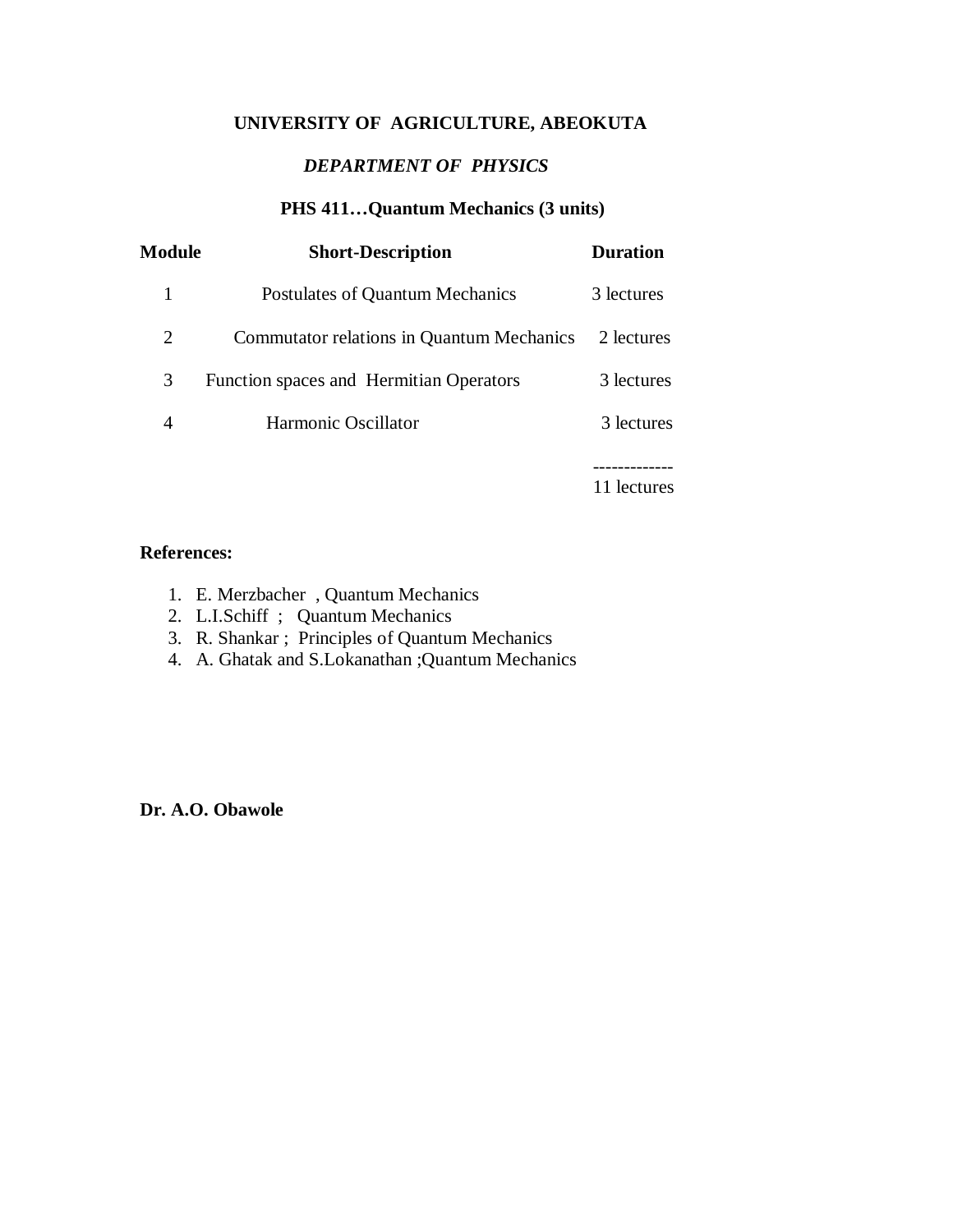# **UNIVERSITY OF AGRICULTURE, ABEOKUTA**

# *DEPARTMENT OF PHYSICS*

# **PHS 411…Quantum Mechanics (3 units)**

| Module | <b>Short-Description</b>                         | <b>Duration</b> |
|--------|--------------------------------------------------|-----------------|
|        | Postulates of Quantum Mechanics                  | 3 lectures      |
| 2      | <b>Commutator relations in Quantum Mechanics</b> | 2 lectures      |
| 3      | Function spaces and Hermitian Operators          | 3 lectures      |
| 4      | Harmonic Oscillator                              | 3 lectures      |
|        |                                                  |                 |

11 lectures

#### **References:**

- 1. E. Merzbacher , Quantum Mechanics
- 2. L.I.Schiff ; Quantum Mechanics
- 3. R. Shankar ; Principles of Quantum Mechanics
- 4. A. Ghatak and S.Lokanathan ;Quantum Mechanics

**Dr. A.O. Obawole**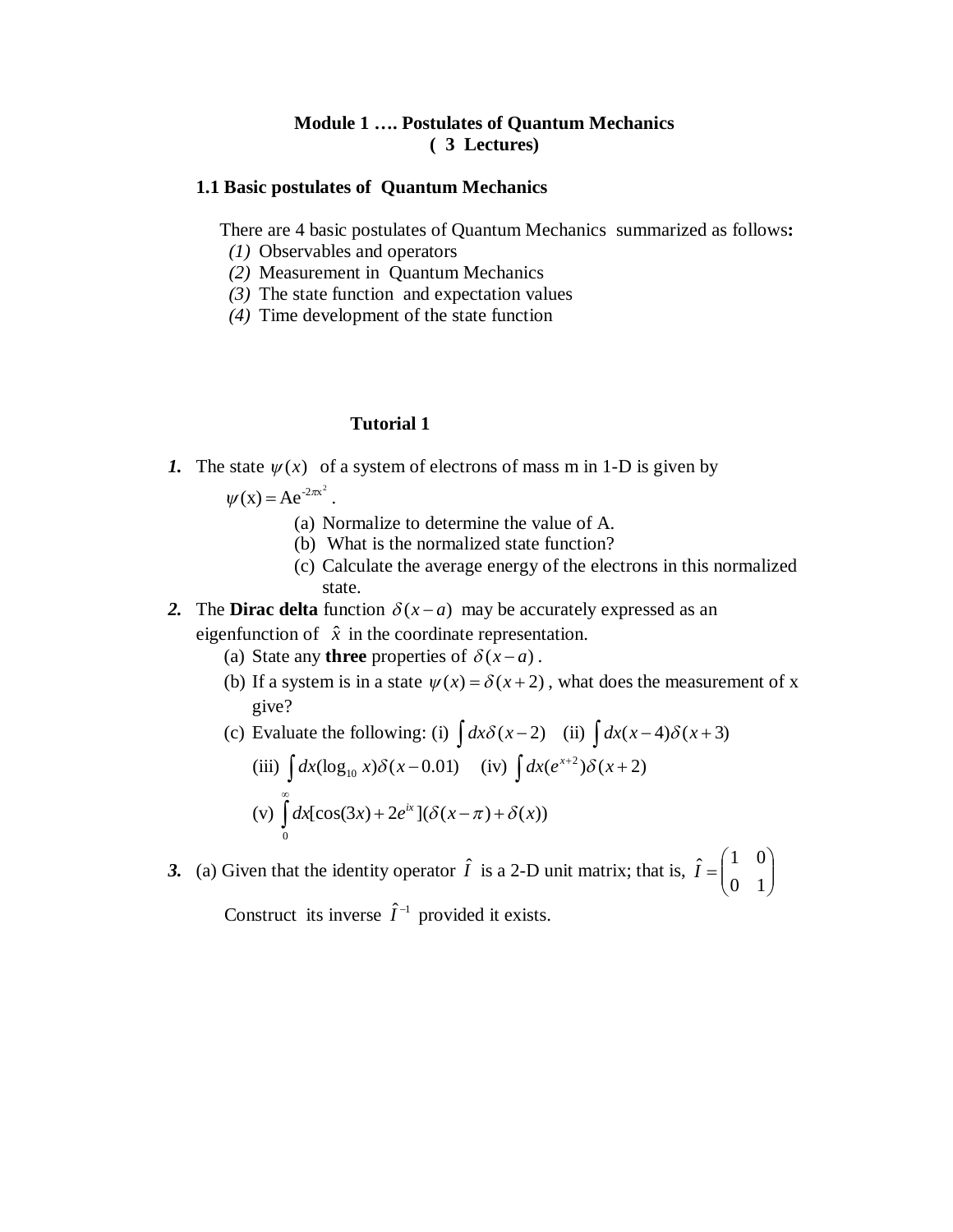### **Module 1 …. Postulates of Quantum Mechanics ( 3 Lectures)**

#### **1.1 Basic postulates of Quantum Mechanics**

There are 4 basic postulates of Quantum Mechanics summarized as follows**:**

- *(1)* Observables and operators
- *(2)* Measurement in Quantum Mechanics
- *(3)* The state function and expectation values
- *(4)* Time development of the state function

#### **Tutorial 1**

*1.* The state  $\psi(x)$  of a system of electrons of mass m in 1-D is given by

$$
\psi(x) = Ae^{-2\pi x^2}.
$$

- (a) Normalize to determine the value of A.
- (b) What is the normalized state function?
- (c) Calculate the average energy of the electrons in this normalized state.
- 2. The **Dirac delta** function  $\delta(x-a)$  may be accurately expressed as an eigenfunction of  $\hat{x}$  in the coordinate representation.
	- (a) State any **three** properties of  $\delta(x-a)$ .
	- (b) If a system is in a state  $\psi(x) = \delta(x+2)$ , what does the measurement of x give?

(c) Evaluate the following: (i) 
$$
\int dx \delta(x-2)
$$
 (ii)  $\int dx(x-4)\delta(x+3)$ 

(iii) 
$$
\int dx (\log_{10} x) \delta(x-0.01) \quad (iv) \int dx (e^{x+2}) \delta(x+2)
$$
  
(v) 
$$
\int_{0}^{\infty} dx [\cos(3x) + 2e^{ix}] (\delta(x-\pi) + \delta(x))
$$

3. (a) Given that the identity operator  $\hat{I}$  is a 2-D unit matrix; that is,  $\hat{I} = \begin{bmatrix} 1 & 0 \\ 0 & 1 \end{bmatrix}$  $\bigg)$  $\setminus$  $\overline{\phantom{a}}$  $\setminus$ ſ  $=$ 0 1  $\hat{I} = \begin{pmatrix} 1 & 0 \\ 0 & 1 \end{pmatrix}$ 

Construct its inverse  $\hat{I}^{-1}$  provided it exists.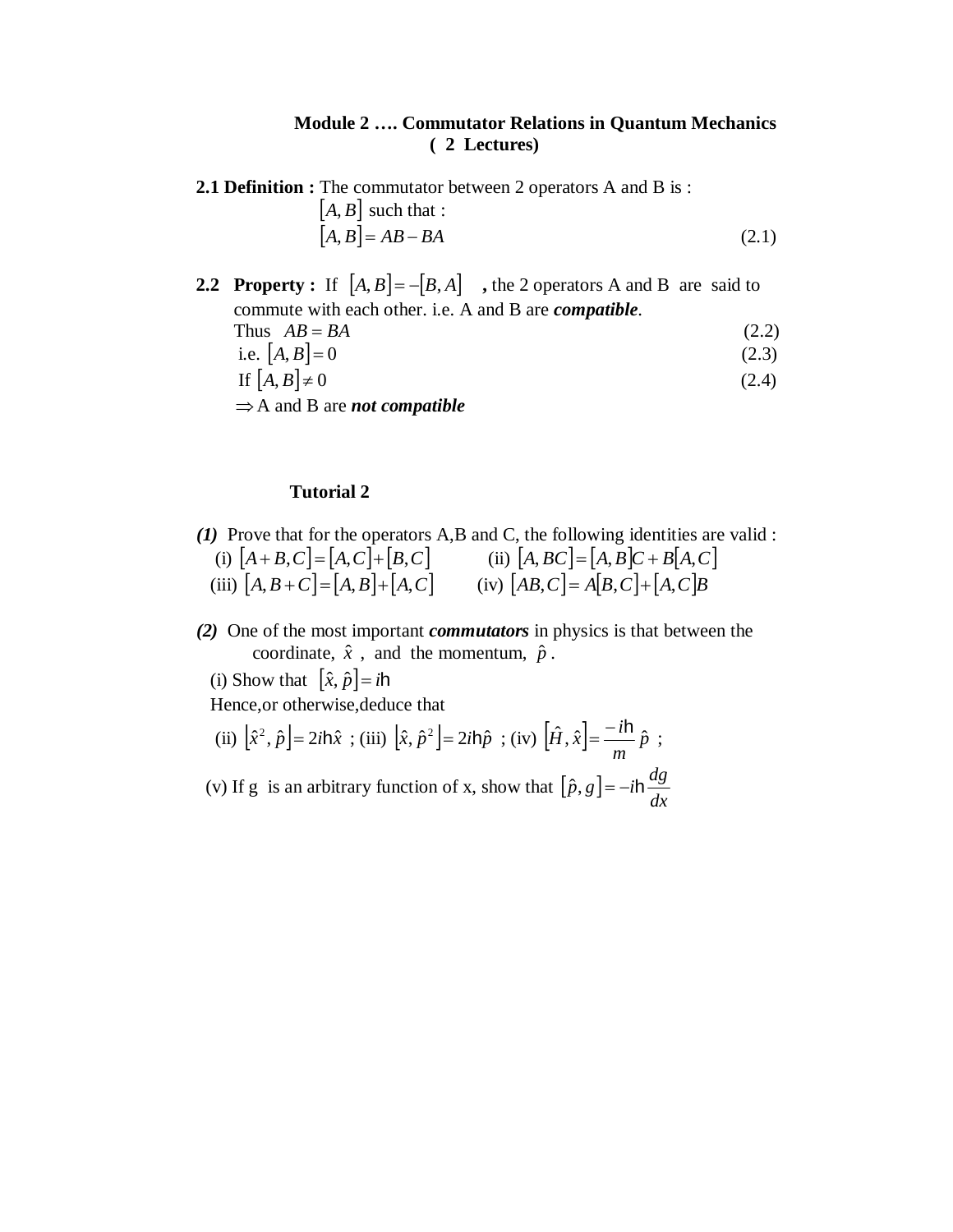### **Module 2 …. Commutator Relations in Quantum Mechanics ( 2 Lectures)**

**2.1 Definition :** The commutator between 2 operators A and B is :

$$
[A, B] \text{ such that :}
$$

$$
[A, B] = AB - BA \tag{2.1}
$$

- **2.2 Property** : If  $[A, B] = -[B, A]$ , the 2 operators A and B are said to commute with each other. i.e. A and B are *compatible*.
	- Thus  $AB = BA$  (2.2)
	- i.e.  $[A, B] = 0$  (2.3)
	- If  $[A, B] \neq 0$  (2.4)
	- $\Rightarrow$  A and B are *not compatible*

### **Tutorial 2**

- *(1)* Prove that for the operators A,B and C, the following identities are valid : (i)  $|A + B, C| = |A, C| + |B, C|$  (ii)  $|A, BC| = |A, B|C + B|A, C|$ (iii)  $|A, B+C| = |A, B| + |A, C|$  (iv)  $|AB, C| = A|B, C| + |A, C|B$ 
	- *(2)* One of the most important *commutators* in physics is that between the coordinate,  $\hat{x}$ , and the momentum,  $\hat{p}$ .
		- (i) Show that  $[\hat{x}, \hat{p}] = i\hbar$

Hence,or otherwise,deduce that

(ii) 
$$
[\hat{x}^2, \hat{p}] = 2i\hbar \hat{x}
$$
; (iii)  $[\hat{x}, \hat{p}^2] = 2i\hbar \hat{p}$ ; (iv)  $[\hat{H}, \hat{x}] = \frac{-i\hbar}{m} \hat{p}$ ;

(v) If g is an arbitrary function of x, show that  $[\hat{p}, g]$ *dx*  $\hat{p}, g$ ] =  $-i\hbar \frac{dg}{d\theta}$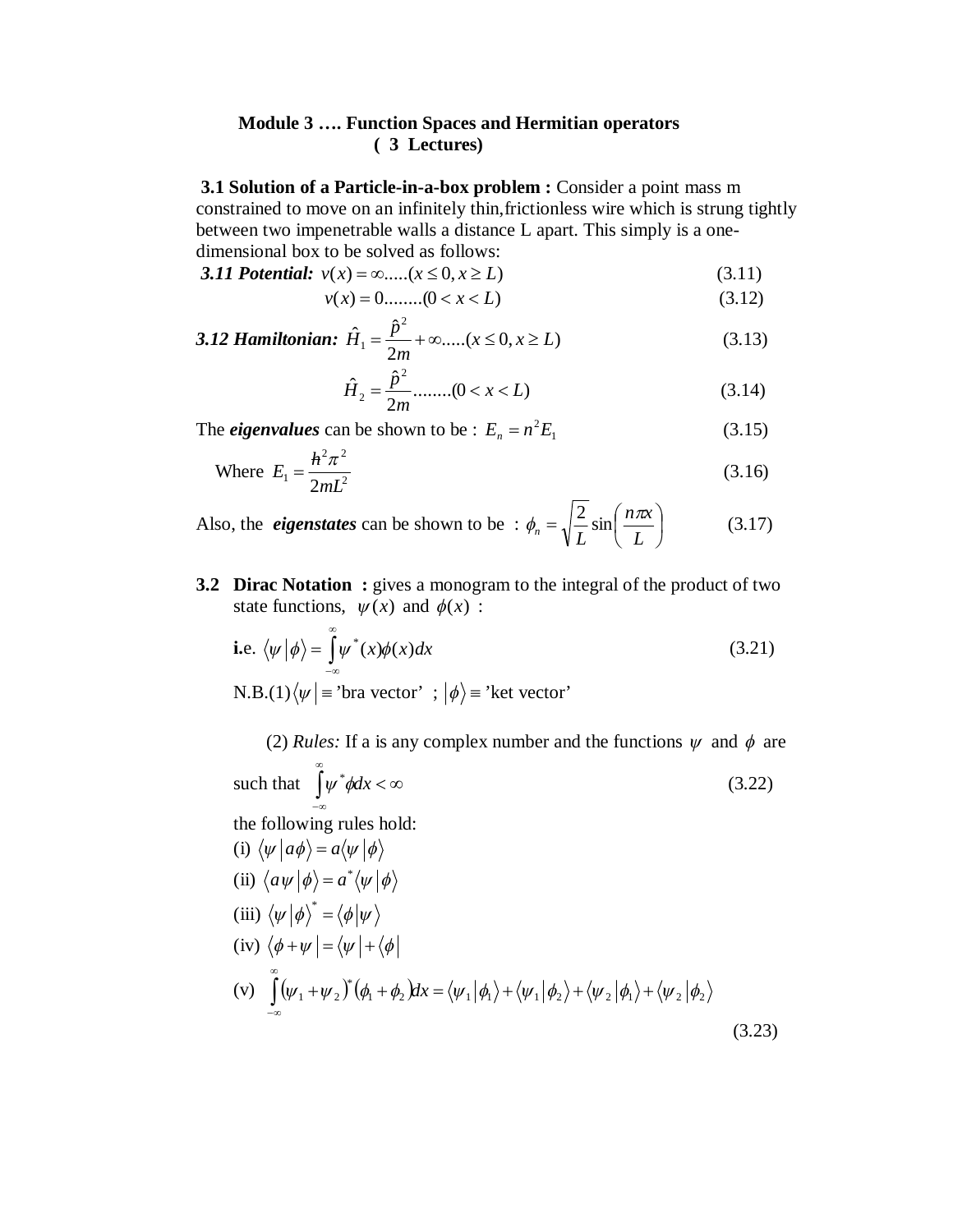#### **Module 3 …. Function Spaces and Hermitian operators ( 3 Lectures)**

**3.1 Solution of a Particle-in-a-box problem :** Consider a point mass m constrained to move on an infinitely thin,frictionless wire which is strung tightly between two impenetrable walls a distance L apart. This simply is a onedimensional box to be solved as follows:

3.11 Potential:  $v(x) = \infty$ ..... $(x \le 0, x \ge L)$  (3.11)

$$
v(x) = 0 \dots (0 < x < L) \tag{3.12}
$$

3.12 Hamiltonian: 
$$
\hat{H}_1 = \frac{\hat{p}^2}{2m} + \infty
$$
....( $x \le 0, x \ge L$ ) (3.13)

$$
\hat{H}_2 = \frac{\hat{p}^2}{2m} \dots \dots \dots (0 < x < L) \tag{3.14}
$$

The *eigenvalues* can be shown to be :  $E_n = n^2 E_1$  (3.15)

Where 
$$
E_1 = \frac{h^2 \pi^2}{2mL^2}
$$
 (3.16)

Also, the *eigenstates* can be shown to be :  $\phi_n = \sqrt{\frac{2}{L}} \sin \left( \frac{n \pi k}{L} \right)$ J  $\left(\frac{n\pi x}{r}\right)$  $\setminus$  $=\sqrt{\frac{2}{I}}\sin$ *L*  $n\pi x$  $n - \sqrt{L}$  $\phi_n = \sqrt{\frac{2}{I}} \sin \left( \frac{n \pi}{I} \right)$ (3.17)

**3.2 Dirac Notation :** gives a monogram to the integral of the product of two state functions,  $\psi(x)$  and  $\phi(x)$  :

i.e. 
$$
\langle \psi | \phi \rangle = \int_{-\infty}^{\infty} \psi^*(x) \phi(x) dx
$$
 (3.21)  
N.B.(1) $\langle \psi | =$ 'bra vector' ;  $|\phi \rangle =$ 'ket vector'

(2) *Rules*: If a is any complex number and the functions  $\psi$  and  $\phi$  are such that  $\int \psi^* \phi dx < \infty$  $\infty$  $-\infty$  $\psi^*$ ødx (3.22) the following rules hold: (i)  $\langle \psi | a\phi \rangle = a \langle \psi | \phi \rangle$ (ii)  $\langle a\psi | \phi \rangle = a^* \langle \psi | \phi \rangle$ 

(iii) 
$$
\langle \psi | \phi \rangle^* = \langle \phi | \psi \rangle
$$
  
\n(iv)  $\langle \phi + \psi | = \langle \psi | + \langle \phi |$   
\n(v)  $\int_{-\infty}^{\infty} (\psi_1 + \psi_2)^* (\phi_1 + \phi_2) dx = \langle \psi_1 | \phi_1 \rangle + \langle \psi_1 | \phi_2 \rangle + \langle \psi_2 | \phi_1 \rangle + \langle \psi_2 | \phi_2 \rangle$  (3.23)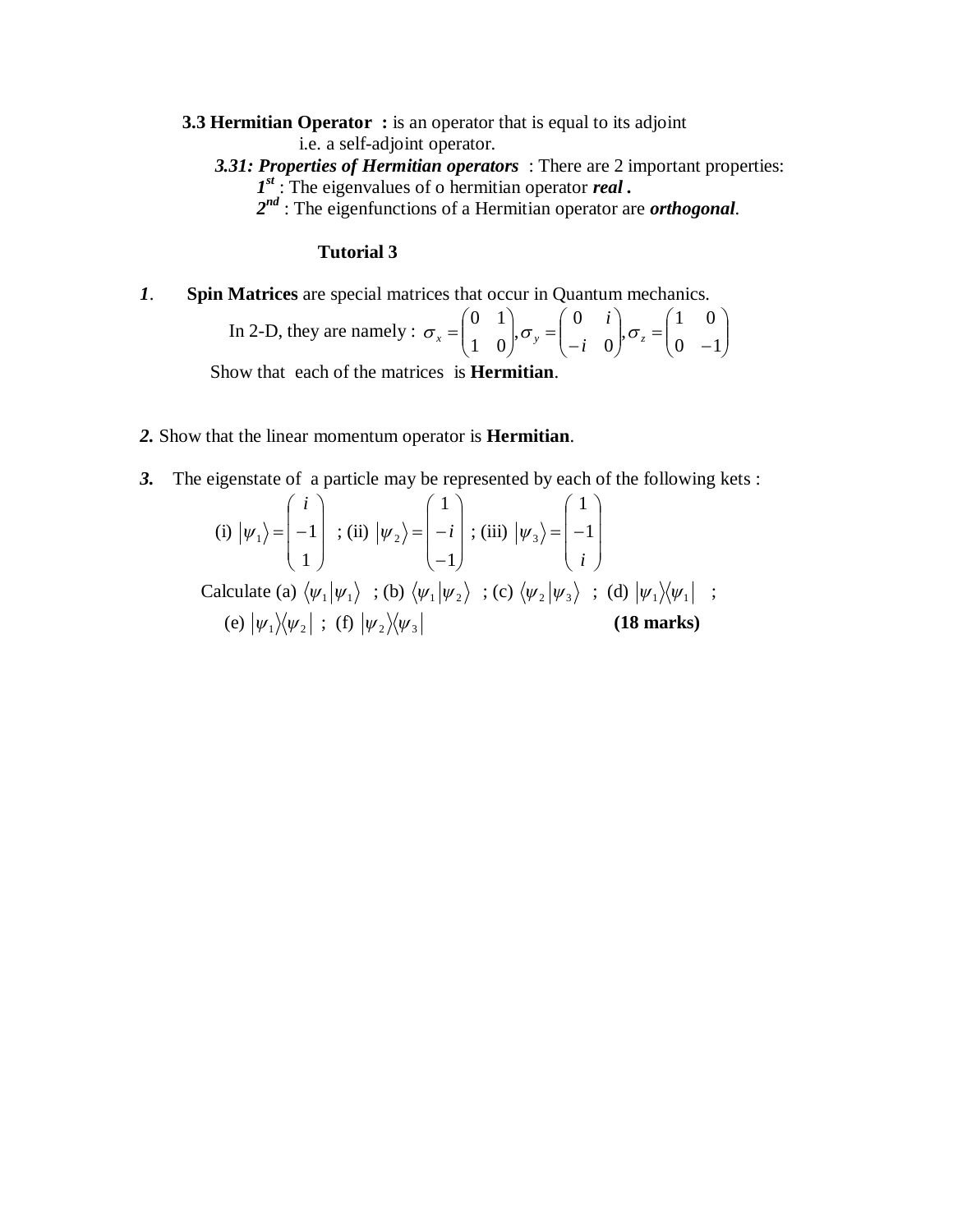**3.3 Hermitian Operator :** is an operator that is equal to its adjoint i.e. a self-adjoint operator.

- *3.31: Properties of Hermitian operators* : There are 2 important properties: *1 st* : The eigenvalues of o hermitian operator *real .*
- *2 nd* : The eigenfunctions of a Hermitian operator are *orthogonal*.

# **Tutorial 3**

*1*. **Spin Matrices** are special matrices that occur in Quantum mechanics.

In 2-D, they are namely : 
$$
\sigma_x = \begin{pmatrix} 0 & 1 \\ 1 & 0 \end{pmatrix}
$$
,  $\sigma_y = \begin{pmatrix} 0 & i \\ -i & 0 \end{pmatrix}$ ,  $\sigma_z = \begin{pmatrix} 1 & 0 \\ 0 & -1 \end{pmatrix}$ 

Show that each of the matrices is **Hermitian**.

- *2.* Show that the linear momentum operator is **Hermitian**.
- *3.* The eigenstate of a particle may be represented by each of the following kets :

(i) 
$$
|\psi_1\rangle = \begin{pmatrix} i \\ -1 \\ 1 \end{pmatrix}
$$
; (ii)  $|\psi_2\rangle = \begin{pmatrix} 1 \\ -i \\ -1 \end{pmatrix}$ ; (iii)  $|\psi_3\rangle = \begin{pmatrix} 1 \\ -1 \\ i \end{pmatrix}$   
\nCalculate (a)  $\langle \psi_1 | \psi_1 \rangle$ ; (b)  $\langle \psi_1 | \psi_2 \rangle$ ; (c)  $\langle \psi_2 | \psi_3 \rangle$ ; (d)  $|\psi_1 \rangle \langle \psi_1 |$ ;  
\n(e)  $|\psi_1 \rangle \langle \psi_2 |$ ; (f)  $|\psi_2 \rangle \langle \psi_3 |$  (18 marks)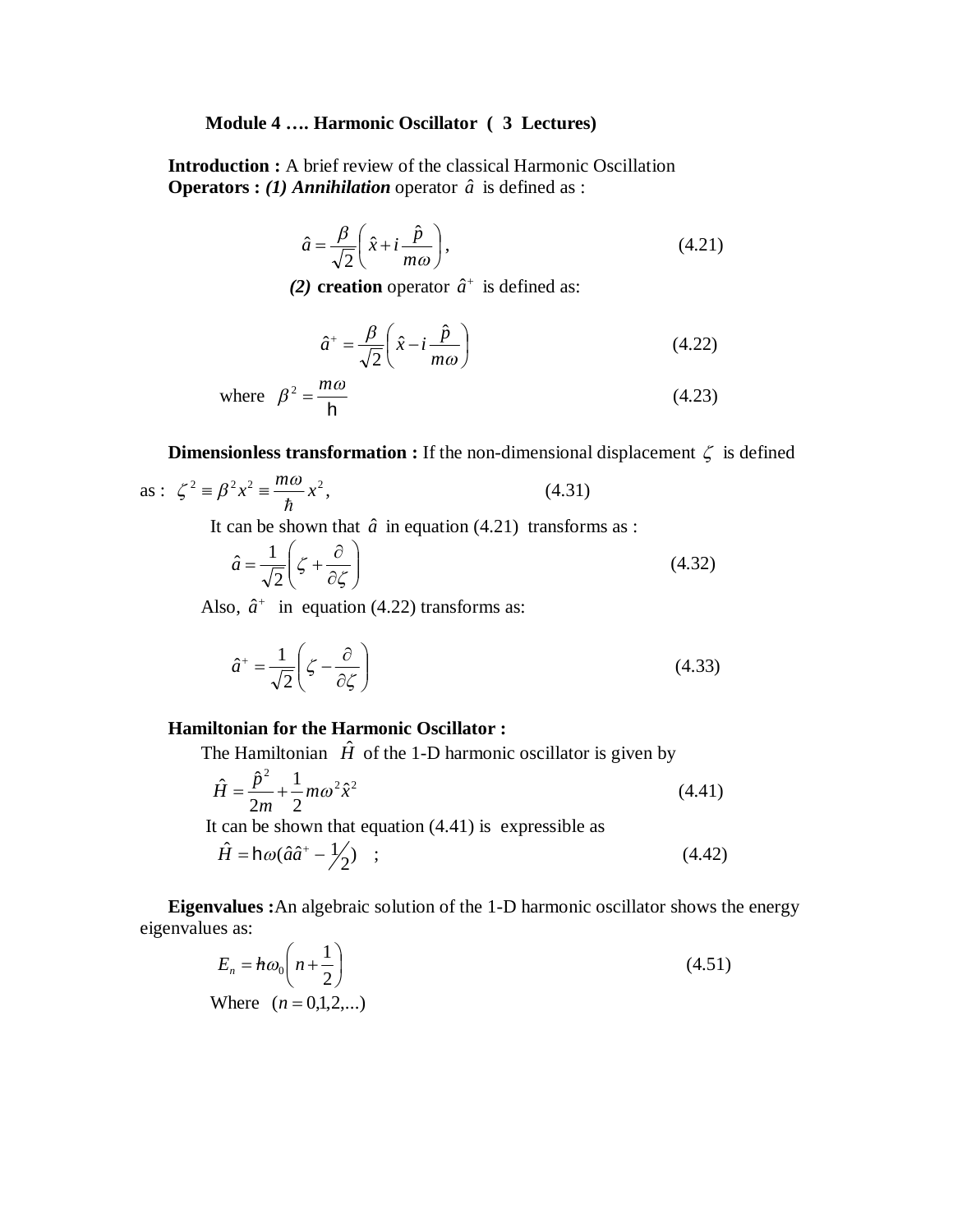#### **Module 4 …. Harmonic Oscillator ( 3 Lectures)**

**Introduction :** A brief review of the classical Harmonic Oscillation **Operators :** (1) *Annihilation* operator  $\hat{a}$  is defined as :

$$
\hat{a} = \frac{\beta}{\sqrt{2}} \left( \hat{x} + i \frac{\hat{p}}{m\omega} \right),\tag{4.21}
$$

(2) **creation** operator  $\hat{a}^+$  is defined as:

$$
\hat{a}^+ = \frac{\beta}{\sqrt{2}} \left( \hat{x} - i \frac{\hat{p}}{m\omega} \right)
$$
 (4.22)

where 
$$
\beta^2 = \frac{m\omega}{h}
$$
 (4.23)

**Dimensionless transformation :** If the non-dimensional displacement  $\zeta$  is defined

as: 
$$
\zeta^2 = \beta^2 x^2 = \frac{m\omega}{\hbar} x^2
$$
, (4.31)

It can be shown that  $\hat{a}$  in equation (4.21) transforms as :

$$
\hat{a} = \frac{1}{\sqrt{2}} \left( \zeta + \frac{\partial}{\partial \zeta} \right) \tag{4.32}
$$

Also,  $\hat{a}^+$  in equation (4.22) transforms as:

$$
\hat{a}^+ = \frac{1}{\sqrt{2}} \left( \zeta - \frac{\partial}{\partial \zeta} \right) \tag{4.33}
$$

## **Hamiltonian for the Harmonic Oscillator :**

The Hamiltonian  $\hat{H}$  of the 1-D harmonic oscillator is given by

$$
\hat{H} = \frac{\hat{p}^2}{2m} + \frac{1}{2}m\omega^2 \hat{x}^2
$$
\n(4.41)

It can be shown that equation  $(4.41)$  is expressible as

$$
\hat{H} = h\omega(\hat{a}\hat{a}^+ - \frac{1}{2}) \quad ; \tag{4.42}
$$

**Eigenvalues :**An algebraic solution of the 1-D harmonic oscillator shows the energy eigenvalues as:

$$
E_n = h\omega_0 \left( n + \frac{1}{2} \right)
$$
  
Where  $(n = 0,1,2,...)$  (4.51)